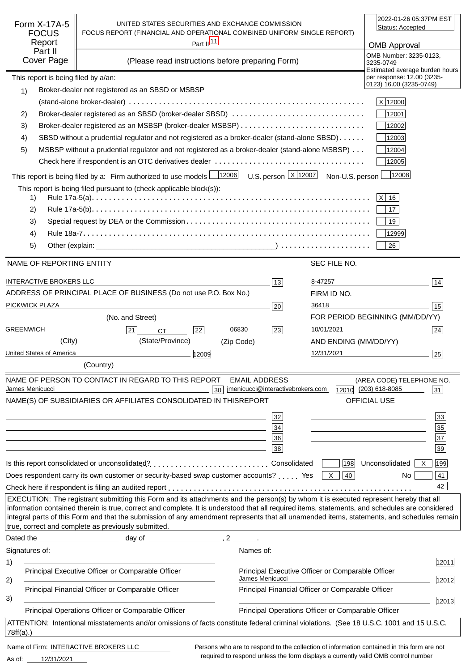|                                                                                                                                          |                                                                                                                                                                                                                                                                                          |                       |                                                                      |                       | 2022-01-26 05:37PM EST                                                                     |                 |
|------------------------------------------------------------------------------------------------------------------------------------------|------------------------------------------------------------------------------------------------------------------------------------------------------------------------------------------------------------------------------------------------------------------------------------------|-----------------------|----------------------------------------------------------------------|-----------------------|--------------------------------------------------------------------------------------------|-----------------|
| Form X-17A-5<br><b>FOCUS</b>                                                                                                             | UNITED STATES SECURITIES AND EXCHANGE COMMISSION<br>FOCUS REPORT (FINANCIAL AND OPERATIONAL COMBINED UNIFORM SINGLE REPORT)                                                                                                                                                              |                       |                                                                      |                       | Status: Accepted                                                                           |                 |
| Report                                                                                                                                   |                                                                                                                                                                                                                                                                                          | Part $\frac{ 11 }{ }$ |                                                                      |                       | <b>OMB Approval</b>                                                                        |                 |
| Part II<br>Cover Page                                                                                                                    | (Please read instructions before preparing Form)                                                                                                                                                                                                                                         |                       |                                                                      |                       | OMB Number: 3235-0123,<br>3235-0749                                                        |                 |
| This report is being filed by a/an:                                                                                                      |                                                                                                                                                                                                                                                                                          |                       |                                                                      |                       | Estimated average burden hours<br>per response: 12.00 (3235-                               |                 |
| 1)                                                                                                                                       | Broker-dealer not registered as an SBSD or MSBSP                                                                                                                                                                                                                                         |                       |                                                                      |                       | 0123) 16.00 (3235-0749)                                                                    |                 |
|                                                                                                                                          |                                                                                                                                                                                                                                                                                          |                       |                                                                      |                       | X 12000                                                                                    |                 |
| 2)                                                                                                                                       | Broker-dealer registered as an SBSD (broker-dealer SBSD)                                                                                                                                                                                                                                 |                       |                                                                      |                       | 12001                                                                                      |                 |
| 3)                                                                                                                                       |                                                                                                                                                                                                                                                                                          |                       |                                                                      |                       | 12002                                                                                      |                 |
| 4)                                                                                                                                       | SBSD without a prudential regulator and not registered as a broker-dealer (stand-alone SBSD)                                                                                                                                                                                             |                       |                                                                      |                       | 12003                                                                                      |                 |
| 5)                                                                                                                                       | MSBSP without a prudential regulator and not registered as a broker-dealer (stand-alone MSBSP)                                                                                                                                                                                           |                       |                                                                      |                       | 12004                                                                                      |                 |
|                                                                                                                                          |                                                                                                                                                                                                                                                                                          |                       |                                                                      |                       | 12005                                                                                      |                 |
|                                                                                                                                          | This report is being filed by a: Firm authorized to use models $\frac{12006}{12006}$ U.S. person $\frac{X}{12007}$ Non-U.S. person                                                                                                                                                       |                       |                                                                      |                       | 12008                                                                                      |                 |
|                                                                                                                                          | This report is being filed pursuant to (check applicable block(s)):                                                                                                                                                                                                                      |                       |                                                                      |                       |                                                                                            |                 |
| 1)                                                                                                                                       |                                                                                                                                                                                                                                                                                          |                       |                                                                      |                       | $ X $ 16                                                                                   |                 |
| 2)                                                                                                                                       |                                                                                                                                                                                                                                                                                          |                       |                                                                      |                       | 17                                                                                         |                 |
| 3)                                                                                                                                       |                                                                                                                                                                                                                                                                                          |                       |                                                                      |                       | 19                                                                                         |                 |
| 4)                                                                                                                                       |                                                                                                                                                                                                                                                                                          |                       |                                                                      |                       | 12999                                                                                      |                 |
| 5)                                                                                                                                       |                                                                                                                                                                                                                                                                                          |                       |                                                                      |                       | 26                                                                                         |                 |
| NAME OF REPORTING ENTITY                                                                                                                 |                                                                                                                                                                                                                                                                                          |                       |                                                                      | SEC FILE NO.          |                                                                                            |                 |
|                                                                                                                                          |                                                                                                                                                                                                                                                                                          |                       |                                                                      |                       |                                                                                            |                 |
| <b>INTERACTIVE BROKERS LLC</b>                                                                                                           |                                                                                                                                                                                                                                                                                          |                       | 13                                                                   | 8-47257               |                                                                                            | 14              |
|                                                                                                                                          | ADDRESS OF PRINCIPAL PLACE OF BUSINESS (Do not use P.O. Box No.)                                                                                                                                                                                                                         |                       |                                                                      | FIRM ID NO.           |                                                                                            |                 |
| PICKWICK PLAZA                                                                                                                           |                                                                                                                                                                                                                                                                                          |                       | 20                                                                   | 36418                 |                                                                                            | 15              |
|                                                                                                                                          | (No. and Street)                                                                                                                                                                                                                                                                         |                       |                                                                      |                       | FOR PERIOD BEGINNING (MM/DD/YY)                                                            |                 |
| <b>GREENWICH</b>                                                                                                                         | 21<br><b>CT</b>                                                                                                                                                                                                                                                                          | 06830<br>22           | 23                                                                   | 10/01/2021            |                                                                                            | 24              |
| (City)                                                                                                                                   | (State/Province)                                                                                                                                                                                                                                                                         | (Zip Code)            |                                                                      | AND ENDING (MM/DD/YY) |                                                                                            |                 |
| United States of America                                                                                                                 |                                                                                                                                                                                                                                                                                          | 12009                 |                                                                      | 12/31/2021            |                                                                                            | 25              |
|                                                                                                                                          | (Country)                                                                                                                                                                                                                                                                                |                       |                                                                      |                       |                                                                                            |                 |
|                                                                                                                                          | NAME OF PERSON TO CONTACT IN REGARD TO THIS REPORT                                                                                                                                                                                                                                       |                       | <b>EMAIL ADDRESS</b>                                                 |                       | (AREA CODE) TELEPHONE NO.                                                                  |                 |
| James Menicucci                                                                                                                          |                                                                                                                                                                                                                                                                                          | 30                    | jmenicucci@interactivebrokers.com                                    |                       | 12010 (203) 618-8085                                                                       | 31              |
|                                                                                                                                          | NAME(S) OF SUBSIDIARIES OR AFFILIATES CONSOLIDATED IN THIS                                                                                                                                                                                                                               |                       | <b>REPORT</b>                                                        |                       | <b>OFFICIAL USE</b>                                                                        |                 |
|                                                                                                                                          |                                                                                                                                                                                                                                                                                          |                       | 32                                                                   |                       |                                                                                            | 33              |
|                                                                                                                                          | and the control of the control of the control of the control of the control of the control of the control of the                                                                                                                                                                         |                       | $34\,$                                                               |                       |                                                                                            | 35              |
|                                                                                                                                          | and the control of the control of the control of the control of the control of the control of the control of the                                                                                                                                                                         |                       | 36                                                                   |                       |                                                                                            | $\overline{37}$ |
|                                                                                                                                          |                                                                                                                                                                                                                                                                                          |                       | 38                                                                   |                       |                                                                                            | 39              |
|                                                                                                                                          | Is this report consolidated or unconsolidated?Consolidated                                                                                                                                                                                                                               |                       |                                                                      | 198                   | Unconsolidated  <br>$\mathsf{X}$                                                           | 199             |
|                                                                                                                                          | Does respondent carry its own customer or security-based swap customer accounts?  Yes $\boxed{\times}$                                                                                                                                                                                   |                       |                                                                      | 40                    | No                                                                                         | 41              |
|                                                                                                                                          |                                                                                                                                                                                                                                                                                          |                       |                                                                      |                       |                                                                                            | 42              |
|                                                                                                                                          | EXECUTION: The registrant submitting this Form and its attachments and the person(s) by whom it is executed represent hereby that all<br>information contained therein is true, correct and complete. It is understood that all required items, statements, and schedules are considered |                       |                                                                      |                       |                                                                                            |                 |
|                                                                                                                                          | integral parts of this Form and that the submission of any amendment represents that all unamended items, statements, and schedules remain                                                                                                                                               |                       |                                                                      |                       |                                                                                            |                 |
|                                                                                                                                          | true, correct and complete as previously submitted.                                                                                                                                                                                                                                      |                       |                                                                      |                       |                                                                                            |                 |
|                                                                                                                                          |                                                                                                                                                                                                                                                                                          |                       |                                                                      |                       |                                                                                            |                 |
| Signatures of:                                                                                                                           |                                                                                                                                                                                                                                                                                          |                       | Names of:                                                            |                       |                                                                                            |                 |
| 1)                                                                                                                                       |                                                                                                                                                                                                                                                                                          |                       |                                                                      |                       |                                                                                            | 12011           |
| 2)                                                                                                                                       | Principal Executive Officer or Comparable Officer                                                                                                                                                                                                                                        |                       | Principal Executive Officer or Comparable Officer<br>James Menicucci |                       |                                                                                            | 12012           |
|                                                                                                                                          | Principal Financial Officer or Comparable Officer                                                                                                                                                                                                                                        |                       | Principal Financial Officer or Comparable Officer                    |                       |                                                                                            |                 |
| 3)                                                                                                                                       |                                                                                                                                                                                                                                                                                          |                       |                                                                      |                       |                                                                                            | 12013           |
|                                                                                                                                          | Principal Operations Officer or Comparable Officer                                                                                                                                                                                                                                       |                       | Principal Operations Officer or Comparable Officer                   |                       |                                                                                            |                 |
| ATTENTION: Intentional misstatements and/or omissions of facts constitute federal criminal violations. (See 18 U.S.C. 1001 and 15 U.S.C. |                                                                                                                                                                                                                                                                                          |                       |                                                                      |                       |                                                                                            |                 |
| $78ff(a)$ .)                                                                                                                             |                                                                                                                                                                                                                                                                                          |                       |                                                                      |                       |                                                                                            |                 |
| Name of Firm: INTERACTIVE BROKERS LLC                                                                                                    |                                                                                                                                                                                                                                                                                          |                       |                                                                      |                       | Persons who are to respond to the collection of information contained in this form are not |                 |

12/31/2021 As of:

required to respond unless the form displays a currently valid OMB control number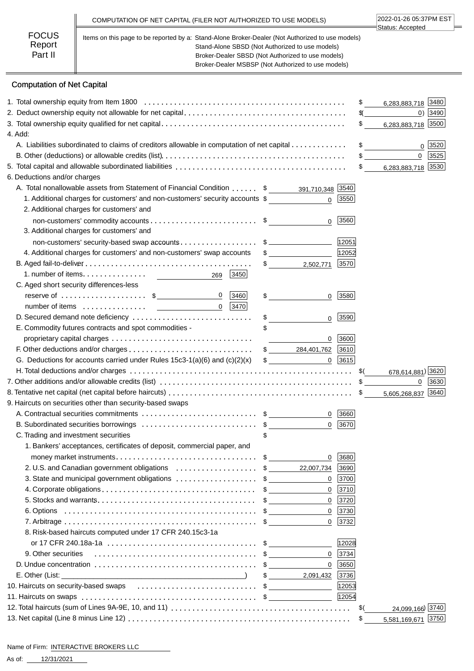|                                   | COMPUTATION OF NET CAPITAL (FILER NOT AUTHORIZED TO USE MODELS)                                                                                                                                                                                                | 2022-01-26 05:37PM EST<br>Status: Accepted |
|-----------------------------------|----------------------------------------------------------------------------------------------------------------------------------------------------------------------------------------------------------------------------------------------------------------|--------------------------------------------|
| <b>FOCUS</b><br>Report<br>Part II | Items on this page to be reported by a: Stand-Alone Broker-Dealer (Not Authorized to use models)<br>Stand-Alone SBSD (Not Authorized to use models)<br>Broker-Dealer SBSD (Not Authorized to use models)<br>Broker-Dealer MSBSP (Not Authorized to use models) |                                            |

# Computation of Net Capital

| 6,283,883,718 3480<br>\$<br>$0)$ 3490<br>\$(<br>6,283,883,718 3500<br>\$<br>4. Add:<br>A. Liabilities subordinated to claims of creditors allowable in computation of net capital<br>\$<br>0 3520<br>$\overline{0}$<br>3525<br>6,283,883,718 3530<br>$\mathfrak s$<br>6. Deductions and/or charges<br>A. Total nonallowable assets from Statement of Financial Condition \$ _______ 391,710,348 3540<br>1. Additional charges for customers' and non-customers' security accounts \$<br>3550<br>$\Omega$<br>2. Additional charges for customers' and<br>3560<br>$\mathbf 0$<br>3. Additional charges for customers' and<br>12051<br>non-customers' security-based swap accounts\$<br>4. Additional charges for customers' and non-customers' swap accounts<br>12052<br>$\frac{1}{2}$<br> 3570 <br>$\frac{1}{\sqrt{2}}$<br>2,502,771<br>1. number of items. $\ldots$ . $\ldots$ . $\ldots$ .<br>3450<br>269<br>C. Aged short security differences-less<br>reserve of $\dots \dots \dots \dots \dots \dots$ \$<br>$\mathbf 0$<br> 3460 <br>3580<br>\$<br>0<br>$\overline{0}$<br>$ 3470 $<br>D. Secured demand note deficiency<br>\$<br>3590<br>0<br>E. Commodity futures contracts and spot commodities -<br>3600<br>0<br>\$ 284,401,762<br>3610<br>G. Deductions for accounts carried under Rules $15c3-1(a)(6)$ and $(c)(2)(x)$<br>$0$   3615<br>$\frac{1}{2}$<br>678,614,881) 3620<br>3630<br>$\mathbf{0}$<br>5,605,268,837 3640<br>9. Haircuts on securities other than security-based swaps<br>3660<br>$\mathbf{0}$<br>B. Subordinated securities borrowings \$<br>3670<br>0<br>C. Trading and investment securities<br>1. Bankers' acceptances, certificates of deposit, commercial paper, and<br>3680<br>0<br>2. U.S. and Canadian government obligations \$<br>22,007,734<br>3690<br>3. State and municipal government obligations \$<br>3700<br>0<br>3710<br>0<br>3720<br>0<br>$\mathbf 0$<br>3730<br>$\mathbf 0$<br>$ 3732 $<br>8. Risk-based haircuts computed under 17 CFR 240.15c3-1a<br>12028<br>9. Other securities<br>$\mathbf 0$<br>3734<br>0<br>3650<br>3736<br>2,091,432<br>$\sim$<br>10. Haircuts on security-based swaps<br>12053<br>12054<br>24,099,166) 3740<br>\$(<br>5,581,169,671 3750<br>\$ |  |  |  |
|----------------------------------------------------------------------------------------------------------------------------------------------------------------------------------------------------------------------------------------------------------------------------------------------------------------------------------------------------------------------------------------------------------------------------------------------------------------------------------------------------------------------------------------------------------------------------------------------------------------------------------------------------------------------------------------------------------------------------------------------------------------------------------------------------------------------------------------------------------------------------------------------------------------------------------------------------------------------------------------------------------------------------------------------------------------------------------------------------------------------------------------------------------------------------------------------------------------------------------------------------------------------------------------------------------------------------------------------------------------------------------------------------------------------------------------------------------------------------------------------------------------------------------------------------------------------------------------------------------------------------------------------------------------------------------------------------------------------------------------------------------------------------------------------------------------------------------------------------------------------------------------------------------------------------------------------------------------------------------------------------------------------------------------------------------------------------------------------------------------------------------------------------------------------------------------------------------------------|--|--|--|
|                                                                                                                                                                                                                                                                                                                                                                                                                                                                                                                                                                                                                                                                                                                                                                                                                                                                                                                                                                                                                                                                                                                                                                                                                                                                                                                                                                                                                                                                                                                                                                                                                                                                                                                                                                                                                                                                                                                                                                                                                                                                                                                                                                                                                      |  |  |  |
|                                                                                                                                                                                                                                                                                                                                                                                                                                                                                                                                                                                                                                                                                                                                                                                                                                                                                                                                                                                                                                                                                                                                                                                                                                                                                                                                                                                                                                                                                                                                                                                                                                                                                                                                                                                                                                                                                                                                                                                                                                                                                                                                                                                                                      |  |  |  |
|                                                                                                                                                                                                                                                                                                                                                                                                                                                                                                                                                                                                                                                                                                                                                                                                                                                                                                                                                                                                                                                                                                                                                                                                                                                                                                                                                                                                                                                                                                                                                                                                                                                                                                                                                                                                                                                                                                                                                                                                                                                                                                                                                                                                                      |  |  |  |
|                                                                                                                                                                                                                                                                                                                                                                                                                                                                                                                                                                                                                                                                                                                                                                                                                                                                                                                                                                                                                                                                                                                                                                                                                                                                                                                                                                                                                                                                                                                                                                                                                                                                                                                                                                                                                                                                                                                                                                                                                                                                                                                                                                                                                      |  |  |  |
|                                                                                                                                                                                                                                                                                                                                                                                                                                                                                                                                                                                                                                                                                                                                                                                                                                                                                                                                                                                                                                                                                                                                                                                                                                                                                                                                                                                                                                                                                                                                                                                                                                                                                                                                                                                                                                                                                                                                                                                                                                                                                                                                                                                                                      |  |  |  |
|                                                                                                                                                                                                                                                                                                                                                                                                                                                                                                                                                                                                                                                                                                                                                                                                                                                                                                                                                                                                                                                                                                                                                                                                                                                                                                                                                                                                                                                                                                                                                                                                                                                                                                                                                                                                                                                                                                                                                                                                                                                                                                                                                                                                                      |  |  |  |
|                                                                                                                                                                                                                                                                                                                                                                                                                                                                                                                                                                                                                                                                                                                                                                                                                                                                                                                                                                                                                                                                                                                                                                                                                                                                                                                                                                                                                                                                                                                                                                                                                                                                                                                                                                                                                                                                                                                                                                                                                                                                                                                                                                                                                      |  |  |  |
|                                                                                                                                                                                                                                                                                                                                                                                                                                                                                                                                                                                                                                                                                                                                                                                                                                                                                                                                                                                                                                                                                                                                                                                                                                                                                                                                                                                                                                                                                                                                                                                                                                                                                                                                                                                                                                                                                                                                                                                                                                                                                                                                                                                                                      |  |  |  |
|                                                                                                                                                                                                                                                                                                                                                                                                                                                                                                                                                                                                                                                                                                                                                                                                                                                                                                                                                                                                                                                                                                                                                                                                                                                                                                                                                                                                                                                                                                                                                                                                                                                                                                                                                                                                                                                                                                                                                                                                                                                                                                                                                                                                                      |  |  |  |
|                                                                                                                                                                                                                                                                                                                                                                                                                                                                                                                                                                                                                                                                                                                                                                                                                                                                                                                                                                                                                                                                                                                                                                                                                                                                                                                                                                                                                                                                                                                                                                                                                                                                                                                                                                                                                                                                                                                                                                                                                                                                                                                                                                                                                      |  |  |  |
|                                                                                                                                                                                                                                                                                                                                                                                                                                                                                                                                                                                                                                                                                                                                                                                                                                                                                                                                                                                                                                                                                                                                                                                                                                                                                                                                                                                                                                                                                                                                                                                                                                                                                                                                                                                                                                                                                                                                                                                                                                                                                                                                                                                                                      |  |  |  |
|                                                                                                                                                                                                                                                                                                                                                                                                                                                                                                                                                                                                                                                                                                                                                                                                                                                                                                                                                                                                                                                                                                                                                                                                                                                                                                                                                                                                                                                                                                                                                                                                                                                                                                                                                                                                                                                                                                                                                                                                                                                                                                                                                                                                                      |  |  |  |
|                                                                                                                                                                                                                                                                                                                                                                                                                                                                                                                                                                                                                                                                                                                                                                                                                                                                                                                                                                                                                                                                                                                                                                                                                                                                                                                                                                                                                                                                                                                                                                                                                                                                                                                                                                                                                                                                                                                                                                                                                                                                                                                                                                                                                      |  |  |  |
|                                                                                                                                                                                                                                                                                                                                                                                                                                                                                                                                                                                                                                                                                                                                                                                                                                                                                                                                                                                                                                                                                                                                                                                                                                                                                                                                                                                                                                                                                                                                                                                                                                                                                                                                                                                                                                                                                                                                                                                                                                                                                                                                                                                                                      |  |  |  |
|                                                                                                                                                                                                                                                                                                                                                                                                                                                                                                                                                                                                                                                                                                                                                                                                                                                                                                                                                                                                                                                                                                                                                                                                                                                                                                                                                                                                                                                                                                                                                                                                                                                                                                                                                                                                                                                                                                                                                                                                                                                                                                                                                                                                                      |  |  |  |
|                                                                                                                                                                                                                                                                                                                                                                                                                                                                                                                                                                                                                                                                                                                                                                                                                                                                                                                                                                                                                                                                                                                                                                                                                                                                                                                                                                                                                                                                                                                                                                                                                                                                                                                                                                                                                                                                                                                                                                                                                                                                                                                                                                                                                      |  |  |  |
|                                                                                                                                                                                                                                                                                                                                                                                                                                                                                                                                                                                                                                                                                                                                                                                                                                                                                                                                                                                                                                                                                                                                                                                                                                                                                                                                                                                                                                                                                                                                                                                                                                                                                                                                                                                                                                                                                                                                                                                                                                                                                                                                                                                                                      |  |  |  |
|                                                                                                                                                                                                                                                                                                                                                                                                                                                                                                                                                                                                                                                                                                                                                                                                                                                                                                                                                                                                                                                                                                                                                                                                                                                                                                                                                                                                                                                                                                                                                                                                                                                                                                                                                                                                                                                                                                                                                                                                                                                                                                                                                                                                                      |  |  |  |
|                                                                                                                                                                                                                                                                                                                                                                                                                                                                                                                                                                                                                                                                                                                                                                                                                                                                                                                                                                                                                                                                                                                                                                                                                                                                                                                                                                                                                                                                                                                                                                                                                                                                                                                                                                                                                                                                                                                                                                                                                                                                                                                                                                                                                      |  |  |  |
|                                                                                                                                                                                                                                                                                                                                                                                                                                                                                                                                                                                                                                                                                                                                                                                                                                                                                                                                                                                                                                                                                                                                                                                                                                                                                                                                                                                                                                                                                                                                                                                                                                                                                                                                                                                                                                                                                                                                                                                                                                                                                                                                                                                                                      |  |  |  |
|                                                                                                                                                                                                                                                                                                                                                                                                                                                                                                                                                                                                                                                                                                                                                                                                                                                                                                                                                                                                                                                                                                                                                                                                                                                                                                                                                                                                                                                                                                                                                                                                                                                                                                                                                                                                                                                                                                                                                                                                                                                                                                                                                                                                                      |  |  |  |
|                                                                                                                                                                                                                                                                                                                                                                                                                                                                                                                                                                                                                                                                                                                                                                                                                                                                                                                                                                                                                                                                                                                                                                                                                                                                                                                                                                                                                                                                                                                                                                                                                                                                                                                                                                                                                                                                                                                                                                                                                                                                                                                                                                                                                      |  |  |  |
|                                                                                                                                                                                                                                                                                                                                                                                                                                                                                                                                                                                                                                                                                                                                                                                                                                                                                                                                                                                                                                                                                                                                                                                                                                                                                                                                                                                                                                                                                                                                                                                                                                                                                                                                                                                                                                                                                                                                                                                                                                                                                                                                                                                                                      |  |  |  |
|                                                                                                                                                                                                                                                                                                                                                                                                                                                                                                                                                                                                                                                                                                                                                                                                                                                                                                                                                                                                                                                                                                                                                                                                                                                                                                                                                                                                                                                                                                                                                                                                                                                                                                                                                                                                                                                                                                                                                                                                                                                                                                                                                                                                                      |  |  |  |
|                                                                                                                                                                                                                                                                                                                                                                                                                                                                                                                                                                                                                                                                                                                                                                                                                                                                                                                                                                                                                                                                                                                                                                                                                                                                                                                                                                                                                                                                                                                                                                                                                                                                                                                                                                                                                                                                                                                                                                                                                                                                                                                                                                                                                      |  |  |  |
|                                                                                                                                                                                                                                                                                                                                                                                                                                                                                                                                                                                                                                                                                                                                                                                                                                                                                                                                                                                                                                                                                                                                                                                                                                                                                                                                                                                                                                                                                                                                                                                                                                                                                                                                                                                                                                                                                                                                                                                                                                                                                                                                                                                                                      |  |  |  |
|                                                                                                                                                                                                                                                                                                                                                                                                                                                                                                                                                                                                                                                                                                                                                                                                                                                                                                                                                                                                                                                                                                                                                                                                                                                                                                                                                                                                                                                                                                                                                                                                                                                                                                                                                                                                                                                                                                                                                                                                                                                                                                                                                                                                                      |  |  |  |
|                                                                                                                                                                                                                                                                                                                                                                                                                                                                                                                                                                                                                                                                                                                                                                                                                                                                                                                                                                                                                                                                                                                                                                                                                                                                                                                                                                                                                                                                                                                                                                                                                                                                                                                                                                                                                                                                                                                                                                                                                                                                                                                                                                                                                      |  |  |  |
|                                                                                                                                                                                                                                                                                                                                                                                                                                                                                                                                                                                                                                                                                                                                                                                                                                                                                                                                                                                                                                                                                                                                                                                                                                                                                                                                                                                                                                                                                                                                                                                                                                                                                                                                                                                                                                                                                                                                                                                                                                                                                                                                                                                                                      |  |  |  |
|                                                                                                                                                                                                                                                                                                                                                                                                                                                                                                                                                                                                                                                                                                                                                                                                                                                                                                                                                                                                                                                                                                                                                                                                                                                                                                                                                                                                                                                                                                                                                                                                                                                                                                                                                                                                                                                                                                                                                                                                                                                                                                                                                                                                                      |  |  |  |
|                                                                                                                                                                                                                                                                                                                                                                                                                                                                                                                                                                                                                                                                                                                                                                                                                                                                                                                                                                                                                                                                                                                                                                                                                                                                                                                                                                                                                                                                                                                                                                                                                                                                                                                                                                                                                                                                                                                                                                                                                                                                                                                                                                                                                      |  |  |  |
|                                                                                                                                                                                                                                                                                                                                                                                                                                                                                                                                                                                                                                                                                                                                                                                                                                                                                                                                                                                                                                                                                                                                                                                                                                                                                                                                                                                                                                                                                                                                                                                                                                                                                                                                                                                                                                                                                                                                                                                                                                                                                                                                                                                                                      |  |  |  |
|                                                                                                                                                                                                                                                                                                                                                                                                                                                                                                                                                                                                                                                                                                                                                                                                                                                                                                                                                                                                                                                                                                                                                                                                                                                                                                                                                                                                                                                                                                                                                                                                                                                                                                                                                                                                                                                                                                                                                                                                                                                                                                                                                                                                                      |  |  |  |
|                                                                                                                                                                                                                                                                                                                                                                                                                                                                                                                                                                                                                                                                                                                                                                                                                                                                                                                                                                                                                                                                                                                                                                                                                                                                                                                                                                                                                                                                                                                                                                                                                                                                                                                                                                                                                                                                                                                                                                                                                                                                                                                                                                                                                      |  |  |  |
|                                                                                                                                                                                                                                                                                                                                                                                                                                                                                                                                                                                                                                                                                                                                                                                                                                                                                                                                                                                                                                                                                                                                                                                                                                                                                                                                                                                                                                                                                                                                                                                                                                                                                                                                                                                                                                                                                                                                                                                                                                                                                                                                                                                                                      |  |  |  |
|                                                                                                                                                                                                                                                                                                                                                                                                                                                                                                                                                                                                                                                                                                                                                                                                                                                                                                                                                                                                                                                                                                                                                                                                                                                                                                                                                                                                                                                                                                                                                                                                                                                                                                                                                                                                                                                                                                                                                                                                                                                                                                                                                                                                                      |  |  |  |
|                                                                                                                                                                                                                                                                                                                                                                                                                                                                                                                                                                                                                                                                                                                                                                                                                                                                                                                                                                                                                                                                                                                                                                                                                                                                                                                                                                                                                                                                                                                                                                                                                                                                                                                                                                                                                                                                                                                                                                                                                                                                                                                                                                                                                      |  |  |  |
|                                                                                                                                                                                                                                                                                                                                                                                                                                                                                                                                                                                                                                                                                                                                                                                                                                                                                                                                                                                                                                                                                                                                                                                                                                                                                                                                                                                                                                                                                                                                                                                                                                                                                                                                                                                                                                                                                                                                                                                                                                                                                                                                                                                                                      |  |  |  |
|                                                                                                                                                                                                                                                                                                                                                                                                                                                                                                                                                                                                                                                                                                                                                                                                                                                                                                                                                                                                                                                                                                                                                                                                                                                                                                                                                                                                                                                                                                                                                                                                                                                                                                                                                                                                                                                                                                                                                                                                                                                                                                                                                                                                                      |  |  |  |
|                                                                                                                                                                                                                                                                                                                                                                                                                                                                                                                                                                                                                                                                                                                                                                                                                                                                                                                                                                                                                                                                                                                                                                                                                                                                                                                                                                                                                                                                                                                                                                                                                                                                                                                                                                                                                                                                                                                                                                                                                                                                                                                                                                                                                      |  |  |  |
|                                                                                                                                                                                                                                                                                                                                                                                                                                                                                                                                                                                                                                                                                                                                                                                                                                                                                                                                                                                                                                                                                                                                                                                                                                                                                                                                                                                                                                                                                                                                                                                                                                                                                                                                                                                                                                                                                                                                                                                                                                                                                                                                                                                                                      |  |  |  |
|                                                                                                                                                                                                                                                                                                                                                                                                                                                                                                                                                                                                                                                                                                                                                                                                                                                                                                                                                                                                                                                                                                                                                                                                                                                                                                                                                                                                                                                                                                                                                                                                                                                                                                                                                                                                                                                                                                                                                                                                                                                                                                                                                                                                                      |  |  |  |
|                                                                                                                                                                                                                                                                                                                                                                                                                                                                                                                                                                                                                                                                                                                                                                                                                                                                                                                                                                                                                                                                                                                                                                                                                                                                                                                                                                                                                                                                                                                                                                                                                                                                                                                                                                                                                                                                                                                                                                                                                                                                                                                                                                                                                      |  |  |  |
|                                                                                                                                                                                                                                                                                                                                                                                                                                                                                                                                                                                                                                                                                                                                                                                                                                                                                                                                                                                                                                                                                                                                                                                                                                                                                                                                                                                                                                                                                                                                                                                                                                                                                                                                                                                                                                                                                                                                                                                                                                                                                                                                                                                                                      |  |  |  |
|                                                                                                                                                                                                                                                                                                                                                                                                                                                                                                                                                                                                                                                                                                                                                                                                                                                                                                                                                                                                                                                                                                                                                                                                                                                                                                                                                                                                                                                                                                                                                                                                                                                                                                                                                                                                                                                                                                                                                                                                                                                                                                                                                                                                                      |  |  |  |
|                                                                                                                                                                                                                                                                                                                                                                                                                                                                                                                                                                                                                                                                                                                                                                                                                                                                                                                                                                                                                                                                                                                                                                                                                                                                                                                                                                                                                                                                                                                                                                                                                                                                                                                                                                                                                                                                                                                                                                                                                                                                                                                                                                                                                      |  |  |  |
|                                                                                                                                                                                                                                                                                                                                                                                                                                                                                                                                                                                                                                                                                                                                                                                                                                                                                                                                                                                                                                                                                                                                                                                                                                                                                                                                                                                                                                                                                                                                                                                                                                                                                                                                                                                                                                                                                                                                                                                                                                                                                                                                                                                                                      |  |  |  |
|                                                                                                                                                                                                                                                                                                                                                                                                                                                                                                                                                                                                                                                                                                                                                                                                                                                                                                                                                                                                                                                                                                                                                                                                                                                                                                                                                                                                                                                                                                                                                                                                                                                                                                                                                                                                                                                                                                                                                                                                                                                                                                                                                                                                                      |  |  |  |
|                                                                                                                                                                                                                                                                                                                                                                                                                                                                                                                                                                                                                                                                                                                                                                                                                                                                                                                                                                                                                                                                                                                                                                                                                                                                                                                                                                                                                                                                                                                                                                                                                                                                                                                                                                                                                                                                                                                                                                                                                                                                                                                                                                                                                      |  |  |  |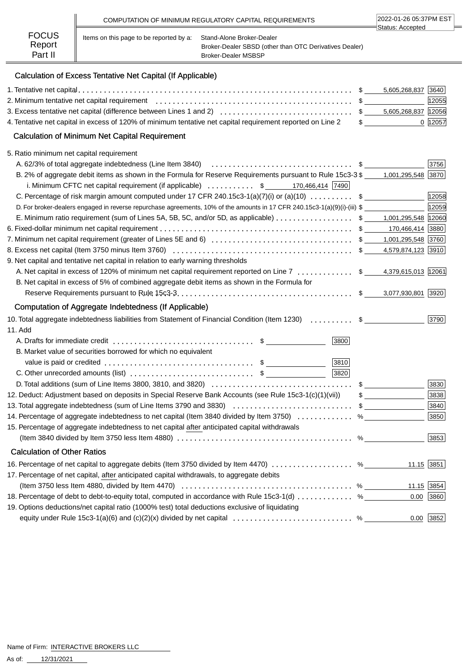|                        |                                         | COMPUTATION OF MINIMUM REGULATORY CAPITAL REQUIREMENTS                              | 2022-01-26 05:37PM EST |
|------------------------|-----------------------------------------|-------------------------------------------------------------------------------------|------------------------|
| <b>FOCUS</b><br>Report | Items on this page to be reported by a: | Stand-Alone Broker-Dealer<br>Broker-Dealer SBSD (other than OTC Derivatives Dealer) | ∃Status: Accepted      |
| Part II                |                                         | <b>Broker-Dealer MSBSP</b>                                                          |                        |

# Calculation of Excess Tentative Net Capital (If Applicable)

|                                                                                                                                 |   | 5,605,268,837 3640 |             |
|---------------------------------------------------------------------------------------------------------------------------------|---|--------------------|-------------|
|                                                                                                                                 |   |                    | 12055       |
|                                                                                                                                 |   |                    |             |
| 4. Tentative net capital in excess of 120% of minimum tentative net capital requirement reported on Line 2                      |   | $\frac{1}{2}$      | 0  12057    |
| <b>Calculation of Minimum Net Capital Requirement</b>                                                                           |   |                    |             |
| 5. Ratio minimum net capital requirement                                                                                        |   |                    |             |
| A. 62/3% of total aggregate indebtedness (Line Item 3840) <i>immersion</i> content to the server of the server server           |   |                    | 3756        |
| B. 2% of aggregate debit items as shown in the Formula for Reserve Requirements pursuant to Rule 15c3-3 \$1,001,295,548 3870    |   |                    |             |
| i. Minimum CFTC net capital requirement (if applicable) $\ldots \ldots \ldots$ \$ 170,466,414 7490                              |   |                    |             |
| C. Percentage of risk margin amount computed under 17 CFR 240.15c3-1(a)(7)(i) or (a)(10)  \$                                    |   |                    | 12058       |
| D. For broker-dealers engaged in reverse repurchase agreements, 10% of the amounts in 17 CFR 240.15c3-1(a)(9)(i)-(iii) \$       |   |                    | 12059       |
| E. Minimum ratio requirement (sum of Lines 5A, 5B, 5C, and/or 5D, as applicable) \$ _ 1,001,295,548 12060                       |   |                    |             |
|                                                                                                                                 |   |                    |             |
|                                                                                                                                 |   |                    |             |
|                                                                                                                                 |   |                    |             |
| 9. Net capital and tentative net capital in relation to early warning thresholds                                                |   |                    |             |
| A. Net capital in excess of 120% of minimum net capital requirement reported on Line 7  \$ 4,379,615,013 12061                  |   |                    |             |
| B. Net capital in excess of 5% of combined aggregate debit items as shown in the Formula for                                    |   |                    |             |
|                                                                                                                                 |   | 3,077,930,801 3920 |             |
| Computation of Aggregate Indebtedness (If Applicable)                                                                           |   |                    |             |
| 10. Total aggregate indebtedness liabilities from Statement of Financial Condition (Item 1230)  \$                              |   |                    | 3790        |
| 11. Add                                                                                                                         |   |                    |             |
| 3800                                                                                                                            |   |                    |             |
| B. Market value of securities borrowed for which no equivalent                                                                  |   |                    |             |
| 3810                                                                                                                            |   |                    |             |
| 3820<br>C. Other unrecorded amounts (list) $\dots \dots \dots \dots \dots \dots \dots \dots$ \$                                 |   |                    |             |
|                                                                                                                                 |   | $\frac{1}{2}$      | 3830        |
| 12. Deduct: Adjustment based on deposits in Special Reserve Bank Accounts (see Rule 15c3-1(c)(1)(vii))                          |   | $\frac{1}{2}$      | 3838        |
| 13. Total aggregate indebtedness (sum of Line Items 3790 and 3830) \$                                                           |   |                    | $3840$      |
| 14. Percentage of aggregate indebtedness to net capital (Item 3840 divided by Item 3750)                                        |   | $\%$               | 3850        |
| 15. Percentage of aggregate indebtedness to net capital after anticipated capital withdrawals                                   |   |                    |             |
|                                                                                                                                 | % |                    | 3853        |
| <b>Calculation of Other Ratios</b>                                                                                              |   |                    |             |
| 16. Percentage of net capital to aggregate debits (Item 3750 divided by Item 4470) %                                            |   | $11.15$ 3851       |             |
| 17. Percentage of net capital, after anticipated capital withdrawals, to aggregate debits                                       |   |                    |             |
| (Item 3750 less Item 4880, divided by Item 4470) $\ldots \ldots \ldots \ldots \ldots \ldots \ldots \ldots \ldots \ldots \ldots$ |   |                    | 11.15 3854  |
| 18. Percentage of debt to debt-to-equity total, computed in accordance with Rule 15c3-1(d)  %                                   |   | 0.00               | 3860        |
| 19. Options deductions/net capital ratio (1000% test) total deductions exclusive of liquidating                                 |   |                    |             |
| equity under Rule 15c3-1(a)(6) and (c)(2)(x) divided by net capital $\ldots \ldots \ldots \ldots \ldots \ldots \ldots$          |   |                    | $0.00$ 3852 |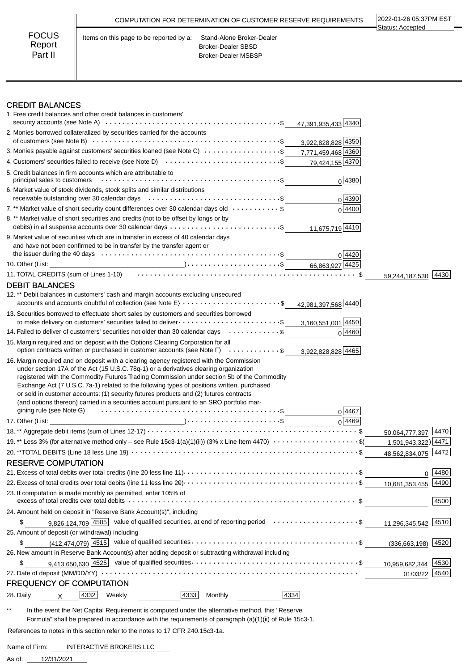|                                   |                                         | COMPUTATION FOR DETERMINATION OF CUSTOMER RESERVE REQUIREMENTS                       | 2022-01-26 05:37PM EST<br>Status: Accepted |
|-----------------------------------|-----------------------------------------|--------------------------------------------------------------------------------------|--------------------------------------------|
| <b>FOCUS</b><br>Report<br>Part II | Items on this page to be reported by a: | Stand-Alone Broker-Dealer<br><b>Broker-Dealer SBSD</b><br><b>Broker-Dealer MSBSP</b> |                                            |

### CREDIT BALANCES

|                                                                                                                                                                                                                                                                                 | 47,391,935,433 4340 |                      |      |
|---------------------------------------------------------------------------------------------------------------------------------------------------------------------------------------------------------------------------------------------------------------------------------|---------------------|----------------------|------|
| 2. Monies borrowed collateralized by securities carried for the accounts                                                                                                                                                                                                        | 3,922,828,828 4350  |                      |      |
| 3. Monies payable against customers' securities loaned (see Note C) $\ldots \ldots \ldots \ldots \ldots$ \$7,771,459,468 4360                                                                                                                                                   |                     |                      |      |
| 4. Customers' securities failed to receive (see Note D) $\cdots$ \$                                                                                                                                                                                                             | 79,424,155 4370     |                      |      |
| 5. Credit balances in firm accounts which are attributable to                                                                                                                                                                                                                   | $0$ 4380            |                      |      |
| 6. Market value of stock dividends, stock splits and similar distributions                                                                                                                                                                                                      | 0 4390              |                      |      |
| 7.** Market value of short security count differences over 30 calendar days old \$                                                                                                                                                                                              | 0 4400              |                      |      |
| 8. ** Market value of short securities and credits (not to be offset by longs or by                                                                                                                                                                                             |                     |                      |      |
|                                                                                                                                                                                                                                                                                 | 11,675,719 4410     |                      |      |
| 9. Market value of securities which are in transfer in excess of 40 calendar days<br>and have not been confirmed to be in transfer by the transfer agent or                                                                                                                     |                     |                      |      |
|                                                                                                                                                                                                                                                                                 | 0 4420              |                      |      |
| 11. TOTAL CREDITS (sum of Lines 1-10) (also contained a series of the series of the series of the series of th                                                                                                                                                                  |                     |                      |      |
|                                                                                                                                                                                                                                                                                 |                     | 59,244,187,530       | 4430 |
| <b>DEBIT BALANCES</b><br>12.** Debit balances in customers' cash and margin accounts excluding unsecured                                                                                                                                                                        |                     |                      |      |
| accounts and accounts doubtful of collection (see Note E) $\ldots \ldots \ldots \ldots \ldots \ldots$                                                                                                                                                                           | 42,981,397,568 4440 |                      |      |
| 13. Securities borrowed to effectuate short sales by customers and securities borrowed                                                                                                                                                                                          |                     |                      |      |
| to make delivery on customers' securities failed to deliver $\dots\dots\dots\dots\dots\dots\dots\dots\dots\dots$<br>14. Failed to deliver of customers' securities not older than 30 calendar days \$                                                                           | 3,160,551,001 4450  |                      |      |
|                                                                                                                                                                                                                                                                                 | 0 4460              |                      |      |
| 15. Margin required and on deposit with the Options Clearing Corporation for all<br>option contracts written or purchased in customer accounts (see Note F) $\ldots \ldots \ldots$                                                                                              | 3,922,828,828 4465  |                      |      |
| 16. Margin required and on deposit with a clearing agency registered with the Commission<br>under section 17A of the Act (15 U.S.C. 78q-1) or a derivatives clearing organization<br>registered with the Commodity Futures Trading Commission under section 5b of the Commodity |                     |                      |      |
| Exchange Act (7 U.S.C. 7a-1) related to the following types of positions written, purchased<br>or sold in customer accounts: (1) security futures products and (2) futures contracts<br>(and options thereon) carried in a securities account pursuant to an SRO portfolio mar- | 0 4467              |                      |      |
|                                                                                                                                                                                                                                                                                 | 0 4469              |                      |      |
|                                                                                                                                                                                                                                                                                 |                     | 50,064,777,397 4470  |      |
| 19.** Less 3% (for alternative method only - see Rule 15c3-1(a)(1)(ii)) (3% x Line Item 4470) \$(                                                                                                                                                                               |                     | 1,501,943,322) 4471  |      |
|                                                                                                                                                                                                                                                                                 |                     | 48,562,834,075       | 4472 |
| <b>RESERVE COMPUTATION</b>                                                                                                                                                                                                                                                      |                     |                      |      |
|                                                                                                                                                                                                                                                                                 |                     | 0                    | 4480 |
|                                                                                                                                                                                                                                                                                 |                     | 10,681,353,455       | 4490 |
| 23. If computation is made monthly as permitted, enter 105% of                                                                                                                                                                                                                  |                     |                      | 4500 |
| 24. Amount held on deposit in "Reserve Bank Account(s)", including                                                                                                                                                                                                              |                     |                      |      |
| 9,826,124,709 4505 value of qualified securities, at end of reporting period \$<br>\$                                                                                                                                                                                           |                     |                      |      |
| 25. Amount of deposit (or withdrawal) including                                                                                                                                                                                                                                 |                     | 11,296,345,542 4510  |      |
| \$                                                                                                                                                                                                                                                                              |                     |                      |      |
| 26. New amount in Reserve Bank Account(s) after adding deposit or subtracting withdrawal including                                                                                                                                                                              |                     | $(336,663,198)$ 4520 |      |
| \$                                                                                                                                                                                                                                                                              |                     | 10,959,682,344       | 4530 |
|                                                                                                                                                                                                                                                                                 |                     | 01/03/22             | 4540 |
| <b>FREQUENCY OF COMPUTATION</b>                                                                                                                                                                                                                                                 |                     |                      |      |

\*\* In the event the Net Capital Requirement is computed under the alternative method, this "Reserve Formula" shall be prepared in accordance with the requirements of paragraph (a)(1)(ii) of Rule 15c3-1.

 $\overline{\phantom{a}}$ 

References to notes in this section refer to the notes to 17 CFR 240.15c3-1a.

Name of Firm: INTERACTIVE BROKERS LLC

12/31/2021 As of: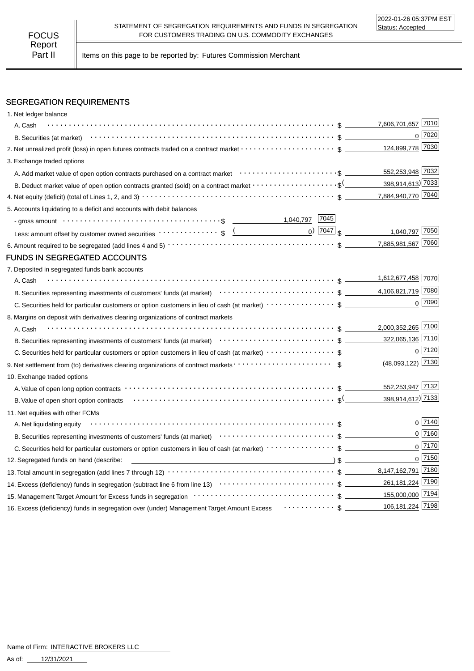Part II | Items on this page to be reported by: Futures Commission Merchant

## SEGREGATION REQUIREMENTS

| 1. Net ledger balance                                                                                                                                                                                                          |                                            |                |
|--------------------------------------------------------------------------------------------------------------------------------------------------------------------------------------------------------------------------------|--------------------------------------------|----------------|
| A. Cash                                                                                                                                                                                                                        | 7,606,701,657 7010                         |                |
|                                                                                                                                                                                                                                |                                            | $0^{20}$       |
|                                                                                                                                                                                                                                | 124,899,778 7030                           |                |
| 3. Exchange traded options                                                                                                                                                                                                     |                                            |                |
| A. Add market value of open option contracts purchased on a contract market enter-inferent content of the content                                                                                                              | 552,253,948 7032                           |                |
| B. Deduct market value of open option contracts granted (sold) on a contract market $\cdots\cdots\cdots\cdots\cdots\cdots$                                                                                                     | 398,914,613) 7033                          |                |
|                                                                                                                                                                                                                                | 7,884,940,770 7040                         |                |
| 5. Accounts liquidating to a deficit and accounts with debit balances                                                                                                                                                          |                                            |                |
| - gross amount \bit \\contract \\contract \\contract \\contract \\contract \\contract \\contract \\contract \\contract \\contract \\contract \\contract \\contract \\contract \\contract \\contract \\contract \\contract \\co |                                            |                |
| Less: amount offset by customer owned securities $\cdots \cdots \cdots$ ; $\oint$ $($                                                                                                                                          | $_0$ ) $\boxed{7047}$ \$<br>1,040,797 7050 |                |
|                                                                                                                                                                                                                                | 7,885,981,567 7060                         |                |
| <b>FUNDS IN SEGREGATED ACCOUNTS</b>                                                                                                                                                                                            |                                            |                |
| 7. Deposited in segregated funds bank accounts                                                                                                                                                                                 |                                            |                |
| A. Cash                                                                                                                                                                                                                        | 1,612,677,458 7070                         |                |
|                                                                                                                                                                                                                                |                                            |                |
|                                                                                                                                                                                                                                |                                            | $0$ 7090       |
| 8. Margins on deposit with derivatives clearing organizations of contract markets                                                                                                                                              |                                            |                |
| A. Cash                                                                                                                                                                                                                        | 2,000,352,265 7100                         |                |
|                                                                                                                                                                                                                                | 322,065,136 7110                           |                |
|                                                                                                                                                                                                                                |                                            | $0$ 7120       |
|                                                                                                                                                                                                                                | (48,093,122) 7130                          |                |
| 10. Exchange traded options                                                                                                                                                                                                    |                                            |                |
|                                                                                                                                                                                                                                | 552,253,947 7132                           |                |
| B. Value of open short option contracts with context with context and state of the state of spen short option contracts                                                                                                        | 398,914,612) 7133                          |                |
| 11. Net equities with other FCMs                                                                                                                                                                                               |                                            |                |
| A. Net liquidating equity                                                                                                                                                                                                      |                                            | $0\sqrt{7140}$ |
| B. Securities representing investments of customers' funds (at market)<br>$\cdots$ $\cdots$ $\uparrow$ $\cdots$ $\uparrow$ $\uparrow$ $\qquad$                                                                                 |                                            | $0$ 7160       |
|                                                                                                                                                                                                                                |                                            | $0$ 7170       |
| 12. Segregated funds on hand (describe:                                                                                                                                                                                        |                                            | $0$ 7150       |
|                                                                                                                                                                                                                                |                                            |                |
|                                                                                                                                                                                                                                | 261,181,224 7190                           |                |
| 15. Management Target Amount for Excess funds in segregation contract contract contract contract contract of T194                                                                                                              |                                            |                |
| 16. Excess (deficiency) funds in segregation over (under) Management Target Amount Excess $\cdots \cdots \cdots$ \$ $\perp$                                                                                                    | 106,181,224 7198                           |                |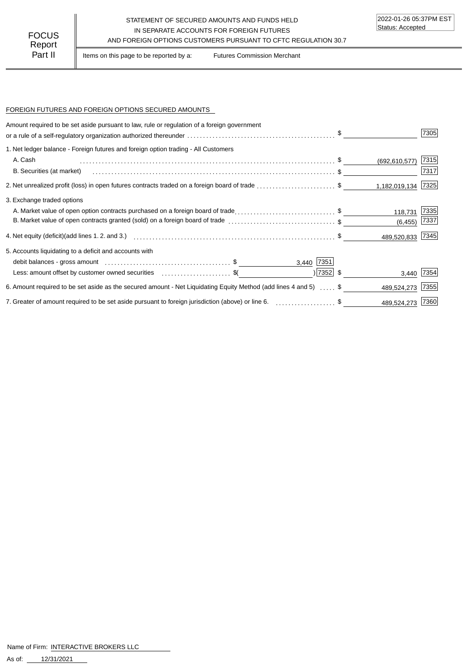### STATEMENT OF SECURED AMOUNTS AND FUNDS HELD IN SEPARATE ACCOUNTS FOR FOREIGN FUTURES FOCUS IN SEPARATE ACCOUNTS FOR FOREIGN FUTURES<br>Report

Part II | Items on this page to be reported by a: Futures Commission Merchant

#### FOREIGN FUTURES AND FOREIGN OPTIONS SECURED AMOUNTS

| Amount required to be set aside pursuant to law, rule or regulation of a foreign government                                   |             |                    | 7305 |
|-------------------------------------------------------------------------------------------------------------------------------|-------------|--------------------|------|
| 1. Net ledger balance - Foreign futures and foreign option trading - All Customers                                            |             |                    |      |
| A. Cash                                                                                                                       |             | (692, 610, 577)    | 7315 |
| B. Securities (at market)                                                                                                     |             |                    | 7317 |
| 2. Net unrealized profit (loss) in open futures contracts traded on a foreign board of trade \$                               |             | 1,182,019,134 7325 |      |
| 3. Exchange traded options                                                                                                    |             |                    |      |
| A. Market value of open option contracts purchased on a foreign board of trade\$                                              |             | 118,731            | 7335 |
| B. Market value of open contracts granted (sold) on a foreign board of trade \$                                               |             | (6, 455)           | 7337 |
| 4. Net equity (deficit)(add lines 1.2. and 3.)                                    \$                                          |             | 489,520,833 7345   |      |
| 5. Accounts liquidating to a deficit and accounts with                                                                        |             |                    |      |
|                                                                                                                               | 3,440 7351  |                    |      |
| Less: amount offset by customer owned securities entity contains and securities of the second securities of the               | $ 7352 $ \$ | 3,440 7354         |      |
| 6. Amount required to be set aside as the secured amount - Net Liquidating Equity Method (add lines 4 and 5)  \$              |             | 489,524,273        | 7355 |
| 7. Greater of amount required to be set aside pursuant to foreign jurisdiction (above) or line 6. [1, 1, 2, 2, 2, 2, 2, 3, 5] |             | 489,524,273 7360   |      |